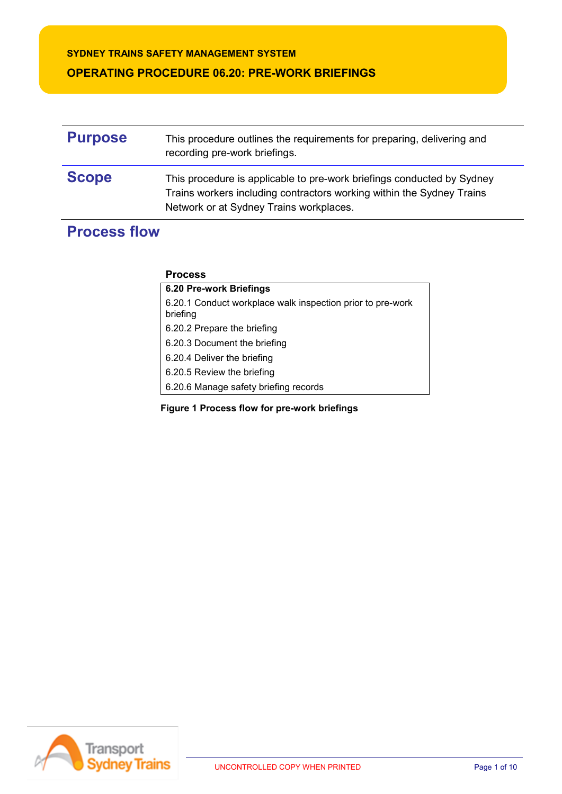## **SYDNEY TRAINS SAFETY MANAGEMENT SYSTEM**

## **OPERATING PROCEDURE 06.20: PRE-WORK BRIEFINGS**

| <b>Purpose</b> | This procedure outlines the requirements for preparing, delivering and<br>recording pre-work briefings.                                                                                    |
|----------------|--------------------------------------------------------------------------------------------------------------------------------------------------------------------------------------------|
| <b>Scope</b>   | This procedure is applicable to pre-work briefings conducted by Sydney<br>Trains workers including contractors working within the Sydney Trains<br>Network or at Sydney Trains workplaces. |

# **Process flow**

### **Process**

| 6.20 Pre-work Briefings                                                |
|------------------------------------------------------------------------|
| 6.20.1 Conduct workplace walk inspection prior to pre-work<br>briefing |
| 6.20.2 Prepare the briefing                                            |
| 6.20.3 Document the briefing                                           |
| 6.20.4 Deliver the briefing                                            |
| 6.20.5 Review the briefing                                             |
| 6.20.6 Manage safety briefing records                                  |
|                                                                        |

**Figure 1 Process flow for pre-work briefings**

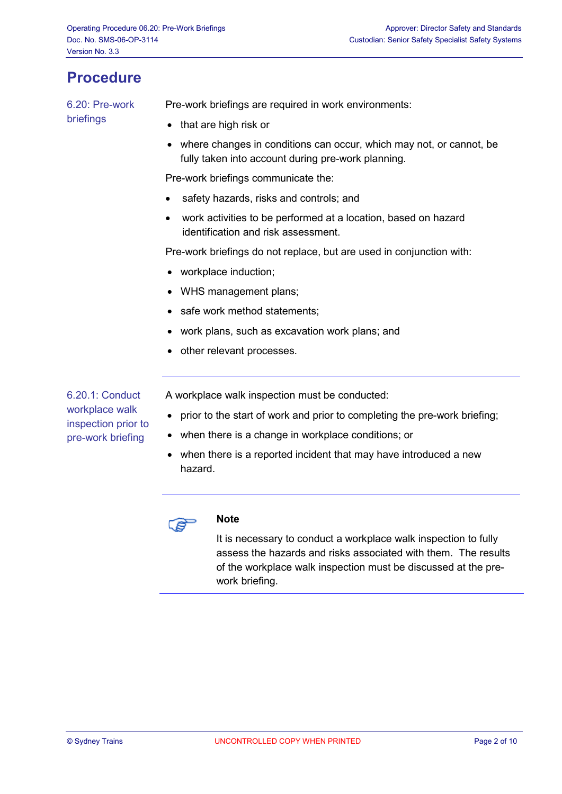## **Procedure**

6.20: Pre-work briefings

Pre-work briefings are required in work environments:

- that are high risk or
- where changes in conditions can occur, which may not, or cannot, be fully taken into account during pre-work planning.

Pre-work briefings communicate the:

- safety hazards, risks and controls; and
- work activities to be performed at a location, based on hazard identification and risk assessment.

Pre-work briefings do not replace, but are used in conjunction with:

- workplace induction;
- WHS management plans;
- safe work method statements;
- work plans, such as excavation work plans; and
- other relevant processes.

6.20.1: Conduct workplace walk inspection prior to pre-work briefing

A workplace walk inspection must be conducted:

- prior to the start of work and prior to completing the pre-work briefing;
- when there is a change in workplace conditions; or
- when there is a reported incident that may have introduced a new hazard.



#### **Note**

It is necessary to conduct a workplace walk inspection to fully assess the hazards and risks associated with them. The results of the workplace walk inspection must be discussed at the prework briefing.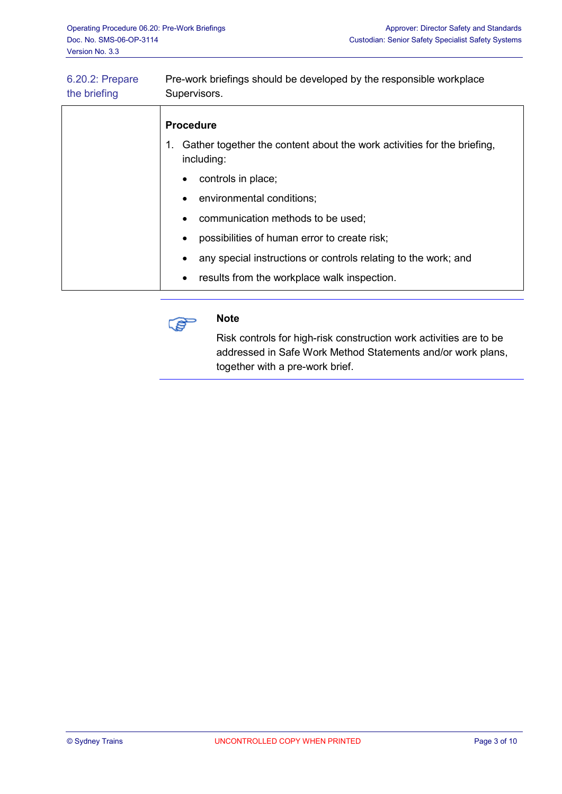| 6.20.2: Prepare<br>the briefing | Pre-work briefings should be developed by the responsible workplace<br>Supervisors.      |  |  |
|---------------------------------|------------------------------------------------------------------------------------------|--|--|
|                                 | <b>Procedure</b>                                                                         |  |  |
|                                 | 1. Gather together the content about the work activities for the briefing,<br>including: |  |  |
|                                 | controls in place;<br>$\bullet$                                                          |  |  |
|                                 | environmental conditions;<br>$\bullet$                                                   |  |  |
|                                 | communication methods to be used;<br>$\bullet$                                           |  |  |
|                                 | possibilities of human error to create risk;<br>$\bullet$                                |  |  |
|                                 | any special instructions or controls relating to the work; and<br>$\bullet$              |  |  |
|                                 | results from the workplace walk inspection.<br>٠                                         |  |  |
|                                 |                                                                                          |  |  |



#### **Note**

Risk controls for high-risk construction work activities are to be addressed in Safe Work Method Statements and/or work plans, together with a pre-work brief.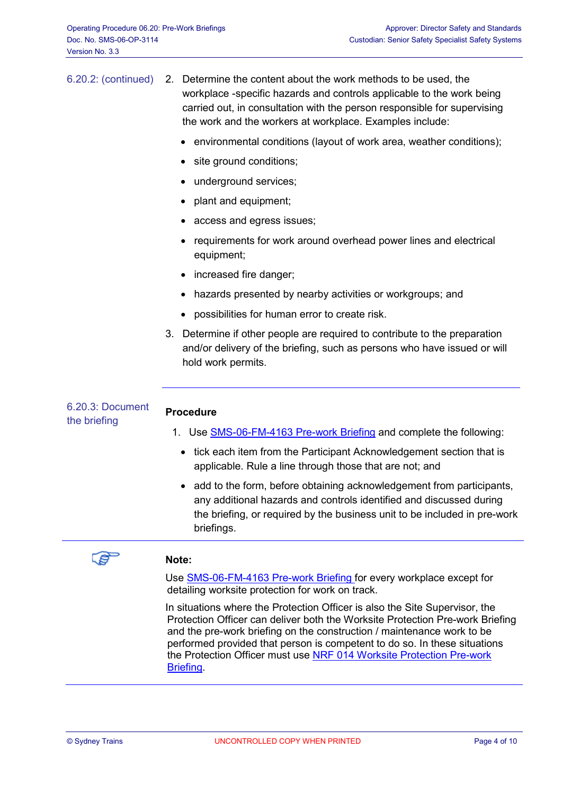| 6.20.2: (continued)              | 2. Determine the content about the work methods to be used, the<br>workplace -specific hazards and controls applicable to the work being<br>carried out, in consultation with the person responsible for supervising<br>the work and the workers at workplace. Examples include: |  |  |
|----------------------------------|----------------------------------------------------------------------------------------------------------------------------------------------------------------------------------------------------------------------------------------------------------------------------------|--|--|
|                                  | environmental conditions (layout of work area, weather conditions);                                                                                                                                                                                                              |  |  |
|                                  | site ground conditions;                                                                                                                                                                                                                                                          |  |  |
|                                  | underground services;                                                                                                                                                                                                                                                            |  |  |
|                                  | plant and equipment;                                                                                                                                                                                                                                                             |  |  |
|                                  | access and egress issues;                                                                                                                                                                                                                                                        |  |  |
|                                  | requirements for work around overhead power lines and electrical<br>equipment;                                                                                                                                                                                                   |  |  |
|                                  | increased fire danger;                                                                                                                                                                                                                                                           |  |  |
|                                  | hazards presented by nearby activities or workgroups; and                                                                                                                                                                                                                        |  |  |
|                                  | possibilities for human error to create risk.                                                                                                                                                                                                                                    |  |  |
|                                  | 3. Determine if other people are required to contribute to the preparation<br>and/or delivery of the briefing, such as persons who have issued or will<br>hold work permits.                                                                                                     |  |  |
| 6.20.3: Document<br>the briefing | <b>Procedure</b>                                                                                                                                                                                                                                                                 |  |  |
|                                  | 1. Use SMS-06-FM-4163 Pre-work Briefing and complete the following:                                                                                                                                                                                                              |  |  |
|                                  | • tick each item from the Participant Acknowledgement section that is<br>applicable. Rule a line through those that are not; and                                                                                                                                                 |  |  |
|                                  | add to the form, before obtaining acknowledgement from participants,<br>٠<br>any additional hazards and controls identified and discussed during<br>the briefing, or required by the business unit to be included in pre-work<br>briefings.                                      |  |  |
|                                  |                                                                                                                                                                                                                                                                                  |  |  |



#### **Note:**

Use [SMS-06-FM-4163 Pre-work Briefing](http://sms.sydneytrains.nsw.gov.au/trim/sms-sydney-trains?RecordNumber=D2013%2F76345) for every workplace except for detailing worksite protection for work on track.

In situations where the Protection Officer is also the Site Supervisor, the Protection Officer can deliver both the Worksite Protection Pre-work Briefing and the pre-work briefing on the construction / maintenance work to be performed provided that person is competent to do so. In these situations the Protection Officer must use [NRF 014 Worksite Protection Pre-work](http://railsafe.sydneytrains.nsw.gov.au/trim/forms?RecordNumber=D2013%2F77774)  **Briefing**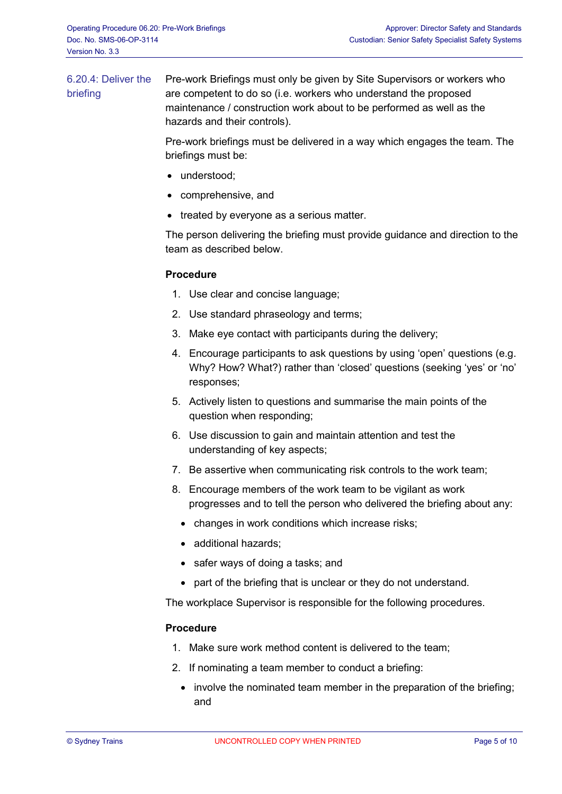6.20.4: Deliver the briefing Pre-work Briefings must only be given by Site Supervisors or workers who are competent to do so (i.e. workers who understand the proposed maintenance / construction work about to be performed as well as the hazards and their controls).

> Pre-work briefings must be delivered in a way which engages the team. The briefings must be:

- understood:
- comprehensive, and
- treated by everyone as a serious matter.

The person delivering the briefing must provide guidance and direction to the team as described below.

#### **Procedure**

- 1. Use clear and concise language;
- 2. Use standard phraseology and terms;
- 3. Make eye contact with participants during the delivery;
- 4. Encourage participants to ask questions by using 'open' questions (e.g. Why? How? What?) rather than 'closed' questions (seeking 'yes' or 'no' responses;
- 5. Actively listen to questions and summarise the main points of the question when responding;
- 6. Use discussion to gain and maintain attention and test the understanding of key aspects;
- 7. Be assertive when communicating risk controls to the work team;
- 8. Encourage members of the work team to be vigilant as work progresses and to tell the person who delivered the briefing about any:
	- changes in work conditions which increase risks;
	- additional hazards;
	- safer ways of doing a tasks; and
	- part of the briefing that is unclear or they do not understand.

The workplace Supervisor is responsible for the following procedures.

#### **Procedure**

- 1. Make sure work method content is delivered to the team;
- 2. If nominating a team member to conduct a briefing:
	- involve the nominated team member in the preparation of the briefing; and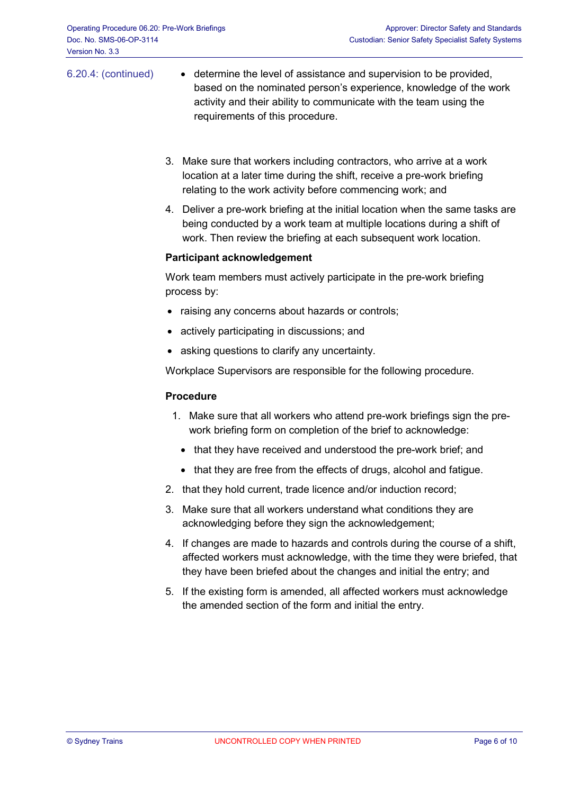- 6.20.4: (continued) determine the level of assistance and supervision to be provided, based on the nominated person's experience, knowledge of the work activity and their ability to communicate with the team using the requirements of this procedure.
	- 3. Make sure that workers including contractors, who arrive at a work location at a later time during the shift, receive a pre-work briefing relating to the work activity before commencing work; and
	- 4. Deliver a pre-work briefing at the initial location when the same tasks are being conducted by a work team at multiple locations during a shift of work. Then review the briefing at each subsequent work location.

#### **Participant acknowledgement**

Work team members must actively participate in the pre-work briefing process by:

- raising any concerns about hazards or controls;
- actively participating in discussions; and
- asking questions to clarify any uncertainty.

Workplace Supervisors are responsible for the following procedure.

#### **Procedure**

- 1. Make sure that all workers who attend pre-work briefings sign the prework briefing form on completion of the brief to acknowledge:
	- that they have received and understood the pre-work brief; and
	- that they are free from the effects of drugs, alcohol and fatigue.
- 2. that they hold current, trade licence and/or induction record;
- 3. Make sure that all workers understand what conditions they are acknowledging before they sign the acknowledgement;
- 4. If changes are made to hazards and controls during the course of a shift, affected workers must acknowledge, with the time they were briefed, that they have been briefed about the changes and initial the entry; and
- 5. If the existing form is amended, all affected workers must acknowledge the amended section of the form and initial the entry.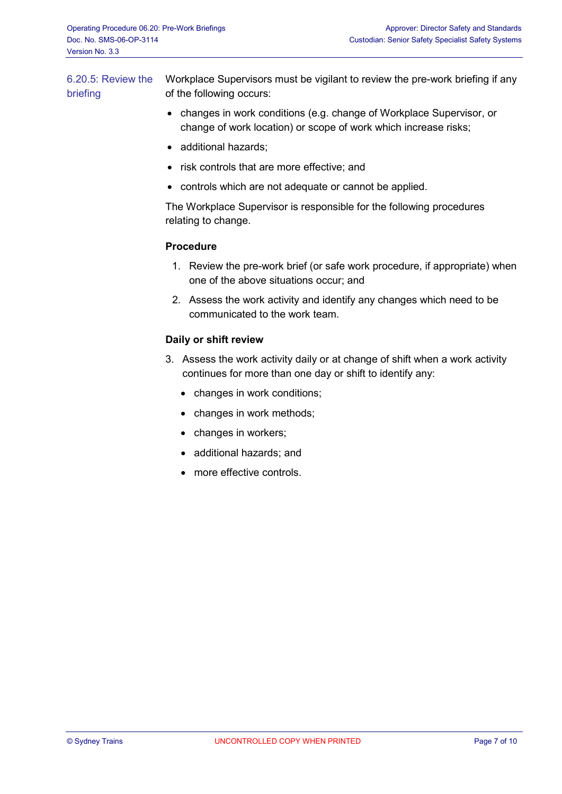6.20.5: Review the briefing Workplace Supervisors must be vigilant to review the pre-work briefing if any of the following occurs:

- changes in work conditions (e.g. change of Workplace Supervisor, or change of work location) or scope of work which increase risks;
- additional hazards;
- risk controls that are more effective; and
- controls which are not adequate or cannot be applied.

The Workplace Supervisor is responsible for the following procedures relating to change.

### **Procedure**

- 1. Review the pre-work brief (or safe work procedure, if appropriate) when one of the above situations occur; and
- 2. Assess the work activity and identify any changes which need to be communicated to the work team.

### **Daily or shift review**

- 3. Assess the work activity daily or at change of shift when a work activity continues for more than one day or shift to identify any:
	- changes in work conditions;
	- changes in work methods;
	- changes in workers;
	- additional hazards; and
	- more effective controls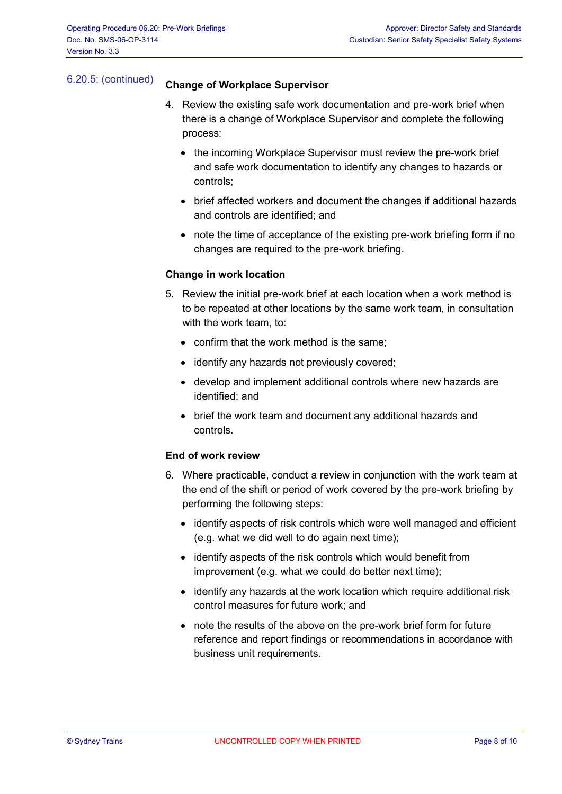## 6.20.5: (continued) **Change of Workplace Supervisor**

- 4. Review the existing safe work documentation and pre-work brief when there is a change of Workplace Supervisor and complete the following process:
	- the incoming Workplace Supervisor must review the pre-work brief and safe work documentation to identify any changes to hazards or controls;
	- brief affected workers and document the changes if additional hazards and controls are identified; and
	- note the time of acceptance of the existing pre-work briefing form if no changes are required to the pre-work briefing.

#### **Change in work location**

- 5. Review the initial pre-work brief at each location when a work method is to be repeated at other locations by the same work team, in consultation with the work team, to:
	- confirm that the work method is the same;
	- identify any hazards not previously covered;
	- develop and implement additional controls where new hazards are identified; and
	- brief the work team and document any additional hazards and controls.

#### **End of work review**

- 6. Where practicable, conduct a review in conjunction with the work team at the end of the shift or period of work covered by the pre-work briefing by performing the following steps:
	- identify aspects of risk controls which were well managed and efficient (e.g. what we did well to do again next time);
	- identify aspects of the risk controls which would benefit from improvement (e.g. what we could do better next time);
	- identify any hazards at the work location which require additional risk control measures for future work; and
	- note the results of the above on the pre-work brief form for future reference and report findings or recommendations in accordance with business unit requirements.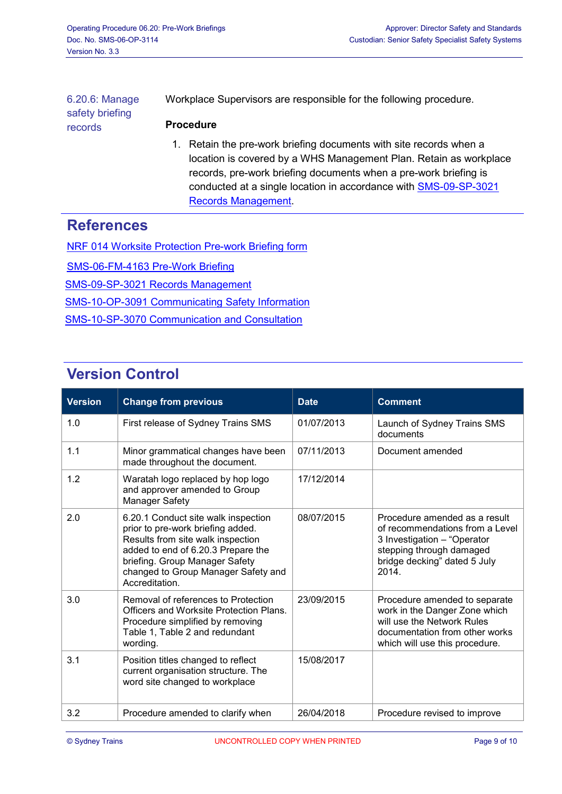6.20.6: Manage safety briefing records Workplace Supervisors are responsible for the following procedure. **Procedure** 1. Retain the pre-work briefing documents with site records when a

location is covered by a WHS Management Plan. Retain as workplace records, pre-work briefing documents when a pre-work briefing is conducted at a single location in accordance with [SMS-09-SP-3021](http://sms.sydneytrains.nsw.gov.au/trim/sms-sydney-trains?RecordNumber=D2013%2F79084)  [Records Management.](http://sms.sydneytrains.nsw.gov.au/trim/sms-sydney-trains?RecordNumber=D2013%2F79084)

## **References**

[NRF 014 Worksite Protection Pre-work Briefing form](http://railsafe.sydneytrains.nsw.gov.au/trim/forms?RecordNumber=D2013%2F77774) [SMS-06-FM-4163 Pre-Work Briefing](http://sms.sydneytrains.nsw.gov.au/trim/sms-sydney-trains?RecordNumber=D2013%2F76345) [SMS-09-SP-3021 Records Management](http://sms.sydneytrains.nsw.gov.au/trim/sms-sydney-trains?RecordNumber=D2013%2F79084) [SMS-10-OP-3091 Communicating Safety Information](http://search.rail.nsw.gov.au:8080/search/click.cgi?rank=1&collection=sms-sydney-trains-meta&url=http%3A%2F%2Fsms.sydneytrains.nsw.gov.au%2Ftrim%2Fsms-sydney-trains%3FRecordNumber%3DD2013%252F76366&index_url=http%3A%2F%2Fsms.sydneytrains.nsw.gov.au%2Ftrim%2Fsms-sydney-trains%3FRecordNumber%3DD2013%252F76366&auth=mlWnl0ccI%2FOaAdgalRSdsA&query=3091&profile=_default) [SMS-10-SP-3070 Communication and Consultation](http://search.rail.nsw.gov.au:8080/search/click.cgi?rank=1&collection=sms-sydney-trains-meta&url=http%3A%2F%2Fsms.sydneytrains.nsw.gov.au%2Ftrim%2Fsms-sydney-trains%3FRecordNumber%3DD2013%252F76369&index_url=http%3A%2F%2Fsms.sydneytrains.nsw.gov.au%2Ftrim%2Fsms-sydney-trains%3FRecordNumber%3DD2013%252F76369&auth=tWMUjYIf%2BEDTWd1W3EtlZQ&query=3070&profile=_default)

# **Version Control**

| <b>Version</b> | <b>Change from previous</b>                                                                                                                                                                                                                    | <b>Date</b> | <b>Comment</b>                                                                                                                                                       |
|----------------|------------------------------------------------------------------------------------------------------------------------------------------------------------------------------------------------------------------------------------------------|-------------|----------------------------------------------------------------------------------------------------------------------------------------------------------------------|
| 1.0            | First release of Sydney Trains SMS                                                                                                                                                                                                             | 01/07/2013  | Launch of Sydney Trains SMS<br>documents                                                                                                                             |
| 1.1            | Minor grammatical changes have been<br>made throughout the document.                                                                                                                                                                           | 07/11/2013  | Document amended                                                                                                                                                     |
| 1.2            | Waratah logo replaced by hop logo<br>and approver amended to Group<br>Manager Safety                                                                                                                                                           | 17/12/2014  |                                                                                                                                                                      |
| 2.0            | 6.20.1 Conduct site walk inspection<br>prior to pre-work briefing added.<br>Results from site walk inspection<br>added to end of 6.20.3 Prepare the<br>briefing. Group Manager Safety<br>changed to Group Manager Safety and<br>Accreditation. | 08/07/2015  | Procedure amended as a result<br>of recommendations from a Level<br>3 Investigation - "Operator<br>stepping through damaged<br>bridge decking" dated 5 July<br>2014. |
| 3.0            | Removal of references to Protection<br>Officers and Worksite Protection Plans.<br>Procedure simplified by removing<br>Table 1, Table 2 and redundant<br>wording.                                                                               | 23/09/2015  | Procedure amended to separate<br>work in the Danger Zone which<br>will use the Network Rules<br>documentation from other works<br>which will use this procedure.     |
| 3.1            | Position titles changed to reflect<br>current organisation structure. The<br>word site changed to workplace                                                                                                                                    | 15/08/2017  |                                                                                                                                                                      |
| 3.2            | Procedure amended to clarify when                                                                                                                                                                                                              | 26/04/2018  | Procedure revised to improve                                                                                                                                         |